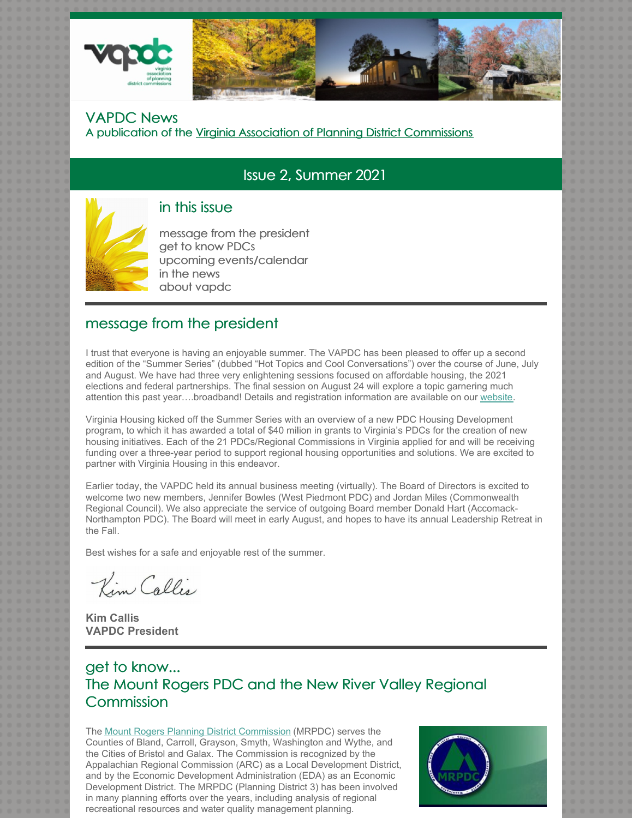

#### VAPDC News A publication of the Virginia Association of Planning District Commissions

# Issue 2, Summer 2021



### in this issue

message from the president get to know PDCs upcoming events/calendar in the news about vapdc

### message from the president

I trust that everyone is having an enjoyable summer. The VAPDC has been pleased to offer up a second edition of the "Summer Series" (dubbed "Hot Topics and Cool Conversations") over the course of June, July and August. We have had three very enlightening sessions focused on affordable housing, the 2021 elections and federal partnerships. The final session on August 24 will explore a topic garnering much attention this past year….broadband! Details and registration information are available on our website.

Virginia Housing kicked off the Summer Series with an overview of a new PDC Housing Development program, to which it has awarded a total of \$40 milion in grants to Virginia's PDCs for the creation of new housing initiatives. Each of the 21 PDCs/Regional Commissions in Virginia applied for and will be receiving funding over a three-year period to support regional housing opportunities and solutions. We are excited to partner with Virginia Housing in this endeavor.

Earlier today, the VAPDC held its annual business meeting (virtually). The Board of Directors is excited to welcome two new members, Jennifer Bowles (West Piedmont PDC) and Jordan Miles (Commonwealth Regional Council). We also appreciate the service of outgoing Board member Donald Hart (Accomack-Northampton PDC). The Board will meet in early August, and hopes to have its annual Leadership Retreat in the Fall.

Best wishes for a safe and enjoyable rest of the summer.

Kim Callis

**Kim Callis VAPDC President**

# get to know... The Mount Rogers PDC and the New River Valley Regional **Commission**

The Mount Rogers Planning District Commission (MRPDC) serves the Counties of Bland, Carroll, Grayson, Smyth, Washington and Wythe, and the Cities of Bristol and Galax. The Commission is recognized by the Appalachian Regional Commission (ARC) as a Local Development District, and by the Economic Development Administration (EDA) as an Economic Development District. The MRPDC (Planning District 3) has been involved in many planning efforts over the years, including analysis of regional recreational resources and water quality management planning.

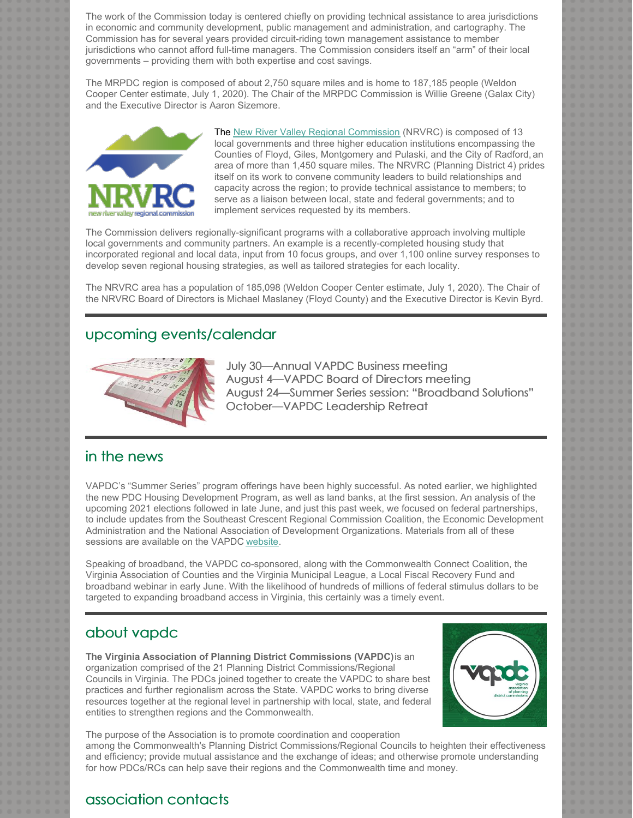The work of the Commission today is centered chiefly on providing technical assistance to area jurisdictions in economic and community development, public management and administration, and cartography. The Commission has for several years provided circuit-riding town management assistance to member jurisdictions who cannot afford full-time managers. The Commission considers itself an "arm" of their local governments – providing them with both expertise and cost savings.

The MRPDC region is composed of about 2,750 square miles and is home to 187,185 people (Weldon Cooper Center estimate, July 1, 2020). The Chair of the MRPDC Commission is Willie Greene (Galax City) and the Executive Director is Aaron Sizemore.



The New River Valley Regional Commission (NRVRC) is composed of 13 local governments and three higher education institutions encompassing the Counties of Floyd, Giles, Montgomery and Pulaski, and the City of Radford, an area of more than 1,450 square miles. The NRVRC (Planning District 4) prides itself on its work to convene community leaders to build relationships and capacity across the region; to provide technical assistance to members; to serve as a liaison between local, state and federal governments; and to implement services requested by its members.

The Commission delivers regionally-significant programs with a collaborative approach involving multiple local governments and community partners. An example is a recently-completed housing study that incorporated regional and local data, input from 10 focus groups, and over 1,100 online survey responses to develop seven regional housing strategies, as well as tailored strategies for each locality.

The NRVRC area has a population of 185,098 (Weldon Cooper Center estimate, July 1, 2020). The Chair of the NRVRC Board of Directors is Michael Maslaney (Floyd County) and the Executive Director is Kevin Byrd.

### upcoming events/calendar



July 30—Annual VAPDC Business meeting August 4—VAPDC Board of Directors meeting August 24—Summer Series session: "Broadband Solutions" October—VAPDC Leadership Retreat

#### in the news

VAPDC's "Summer Series" program offerings have been highly successful. As noted earlier, we highlighted the new PDC Housing Development Program, as well as land banks, at the first session. An analysis of the upcoming 2021 elections followed in late June, and just this past week, we focused on federal partnerships, to include updates from the Southeast Crescent Regional Commission Coalition, the Economic Development Administration and the National Association of Development Organizations. Materials from all of these sessions are available on the VAPDC website.

Speaking of broadband, the VAPDC co-sponsored, along with the Commonwealth Connect Coalition, the Virginia Association of Counties and the Virginia Municipal League, a Local Fiscal Recovery Fund and broadband webinar in early June. With the likelihood of hundreds of millions of federal stimulus dollars to be targeted to expanding broadband access in Virginia, this certainly was a timely event.

### about vapdc

**The Virginia Association of Planning District Commissions (VAPDC)**is an organization comprised of the 21 Planning District Commissions/Regional Councils in Virginia. The PDCs joined together to create the VAPDC to share best practices and further regionalism across the State. VAPDC works to bring diverse resources together at the regional level in partnership with local, state, and federal entities to strengthen regions and the Commonwealth.



The purpose of the Association is to promote coordination and cooperation among the Commonwealth's Planning District Commissions/Regional Councils to heighten their effectiveness and efficiency; provide mutual assistance and the exchange of ideas; and otherwise promote understanding for how PDCs/RCs can help save their regions and the Commonwealth time and money.

#### association contacts